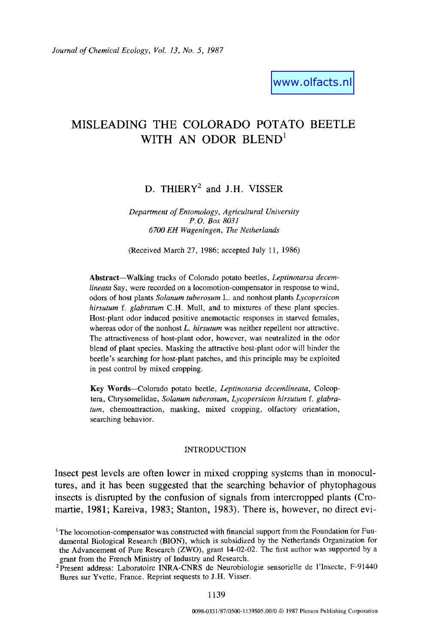www.olfacts.nl

## **MISLEADING THE COLORADO POTATO BEETLE**  WITH AN ODOR BLEND<sup>1</sup>

# D. THIERY<sup>2</sup> and J.H. VISSER

*Department of Entomology, Agricultural University P. O. Box 8031 6700 EH Wageningen, The Netherlands* 

(Received March 27, 1986; accepted July 11, 1986)

Abstract-Walking tracks of Colorado potato beetles, *Leptinotarsa decemlineata* Say, were recorded on a locomotion-compensator in response to wind, odors of host plants *Solanum tuberosum* L. and nonhost plants *Lycopersicon hirsutum f. glabratum* C.H. Mull, and to mixtures of these plant species. Host-plant odor induced positive anemotactic responses in starved females, whereas odor of the nonhost *L. hirsutum* was neither repellent nor attractive. The attractiveness of host-plant odor, however, was neutralized in the odor blend of plant species. Masking the attractive host-plant odor will hinder the beetle's searching for host-plant patches, and this principle may be exploited in pest control by mixed cropping.

Key Words--Colorado potato beetle, *Leptinotarsa decemlineata,* Coleoptera, Chrysomelidae, *Solanum tuberosum, Lycopersicon hirsutum f. glabraturn,* chemoattraction, masking, mixed cropping, olfactory orientation, searching behavior.

#### INTRODUCTION

Insect pest levels are often lower in mixed cropping systems than in monocultures, and it has been suggested that the searching behavior of phytophagous insects is disrupted by the confusion of signals from intercropped plants (Cromartie, 1981; Kareiva, 1983; Stanton, 1983). There is, however, no direct evi-

<sup>&</sup>lt;sup>1</sup> The locomotion-compensator was constructed with financial support from the Foundation for Fundamental Biological Research (BION), which is subsidized by the Netherlands Organization for the Advancement of Pure Research (ZWO), grant 14-02-02. The first author was supported by a grant from the French Ministry of Industry and Research.

<sup>&</sup>lt;sup>2</sup>Present address: Laboratoire INRA-CNRS de Neurobiologie sensorielle de l'Insecte, F-91440 Bures sur Yvette, France. Reprint requests to J.H. Visser.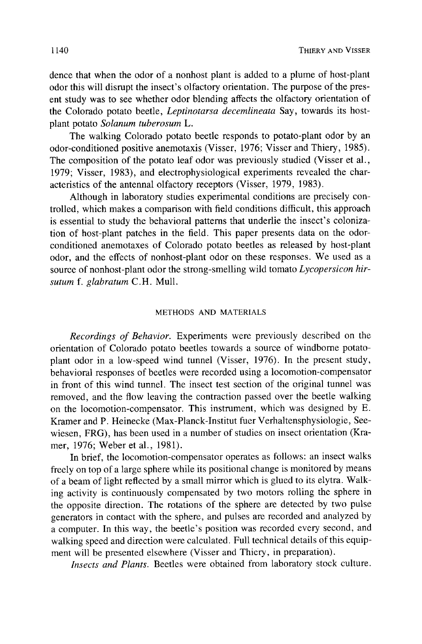dence that when the odor of a nonhost plant is added to a plume of host-plant odor this will disrupt the insect's olfactory orientation. The purpose of the present study was to see whether odor blending affects the olfactory orientation of the Colorado potato beetle, *Leptinotarsa decemlineata* Say, towards its hostplant potato *Solanum tuberosum L.* 

The walking Colorado potato beetle responds to potato-plant odor by an odor-conditioned positive anemotaxis (Visser, 1976; Visser and Thiery, 1985). The composition of the potato leaf odor was previously studied (Visser et al., 1979; Visser, 1983), and electrophysiological experiments revealed the characteristics of the antennal olfactory receptors (Visser, 1979, 1983).

Although in laboratory studies experimental conditions are precisely controlled, which makes a comparison with field conditions difficult, this approach is essential to study the behavioral patterns that underlie the insect's colonization of host-plant patches in the field. This paper presents data on the odorconditioned anemotaxes of Colorado potato beetles as released by host-plant odor, and the effects of nonhost-plant odor on these responses. We used as a source of nonhost-plant odor the strong-smelling wild tomato *Lycopersicon hirsutum f. glabratum* C.H. Mull.

### METHODS AND MATERIALS

*Recordings of Behavior.* Experiments were previously described on the orientation of Colorado potato beetles towards a source of windborne potatoplant odor in a low-speed wind tunnel (Visser, 1976). In the present study, behavioral responses of beetles were recorded using a locomotion-compensator in front of this wind tunnel. The insect test section of the original tunnel was removed, and the flow leaving the contraction passed over the beetle walking on the locomotion-compensator. This instrument, which was designed by E. Kramer and P. Heinecke (Max-Planck-Institut fuer Verhaltensphysiologie, Seewiesen, FRG), has been used in a number of studies on insect orientation (Kramer, 1976; Weber et al., 1981).

In brief, the locomotion-compensator operates as follows: an insect walks freely on top of a large sphere while its positional change is monitored by means of a beam of light reflected by a small mirror which is glued to its elytra. Walking activity is continuously compensated by two motors rolling the sphere in the opposite direction. The rotations of the sphere are detected by two pulse generators in contact with the sphere, and pulses are recorded and analyzed by a computer. In this way, the beetle's position was recorded every second, and walking speed and direction were calculated. Full technical details of this equipment will be presented elsewhere (Visser and Thiery, in preparation).

*Insects and Plants.* Beetles were obtained from laboratory stock culture.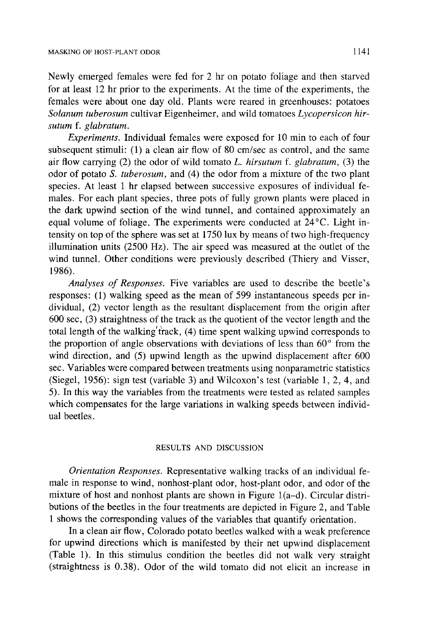Newly emerged females were fed for 2 hr on potato foliage and then starved for at least 12 hr prior to the experiments. At the time of the experiments, the females were about one day old. Plants were reared in greenhouses: potatoes *Solanum tuberosum* cultivar Eigenheimer, and wild tomatoes *Lycopersicon hirsuture f. glabratum.* 

*Experiments.* Individual females were exposed for 10 min to each of four subsequent stimuli: (1) a clean air flow of 80 cm/sec as control, and the same air flow carrying (2) the odor of wild tomato *L. hirsutum f. glabratum,* (3) the odor of potato *S. tuberosum,* and (4) the odor from a mixture of the two plant species. At least 1 hr elapsed between successive exposures of individual females. For each plant species, three pots of fully grown plants were placed in the dark upwind section of the wind tunnel, and contained approximately an equal volume of foliage. The experiments were conducted at  $24^{\circ}$ C. Light intensity on top of the sphere was set at 1750 lux by means of two high-frequency illumination units (2500 Hz). The air speed was measured at the outlet of the wind tunnel. Other conditions were previously described (Thiery and Visser, 1986).

*Analyses of Responses.* Five variables are used to describe the beetle's responses: (1) walking speed as the mean of 599 instantaneous speeds per individual, (2) vector length as the resultant displacement from the origin after 600 sec, (3) straightness of the track as the quotient of the vector length and the total length of the walking'track, (4) time spent walking upwind corresponds to the proportion of angle observations with deviations of less than  $60^\circ$  from the wind direction, and (5) upwind length as the upwind displacement after 600 sec. Variables were compared between treatments using nonparametric statistics (Siegel, 1956): sign test (variable 3) and Wilcoxon's test (variable 1, 2, 4, and 5). In this way the variables from the treatments were tested as related samples which compensates for the large variations in walking speeds between individual beetles.

## RESULTS AND DISCUSSION

*Orientation Responses.* Representative walking tracks of an individual female in response to wind, nonhost-plant odor, host-plant odor, and odor of the mixture of host and nonhost plants are shown in Figure  $1(a-d)$ . Circular distributions of the beetles in the four treatments are depicted in Figure 2, and Table 1 shows the corresponding values of the variables that quantify orientation.

In a clean air flow, Colorado potato beetles walked with a weak preference for upwind directions which is manifested by their net upwind displacement (Table 1). In this stimulus condition the beetles did not walk very straight (straightness is 0.38). Odor of the wild tomato did not elicit an increase in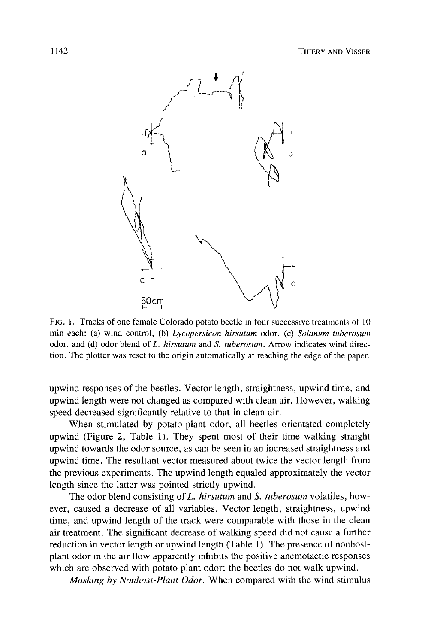

FIG. 1. Tracks of one female Colorado potato beetle in four successive treatments of 10 min each: (a) wind control, (b) *Lycopersicon hirsutum* odor, (c) *Solanum tuberosum*  odor, and (d) odor blend of *L. hirsutum* and *S. tuberosum.* Arrow indicates wind direction. The plotter was reset to the origin automatically at reaching the edge of the paper.

upwind responses of the beetles. Vector length, straightness, upwind time, and upwind length were not changed as compared with clean air. However, walking speed decreased significantly relative to that in clean air.

When stimulated by potato-plant odor, all beetles orientated completely upwind (Figure 2, Table 1). They spent most of their time walking straight upwind towards the odor source, as can be seen in an increased straightness and upwind time. The resultant vector measured about twice the vector length from the previous experiments. The upwind length equaled approximately the vector length since the latter was pointed strictly upwind.

The odor blend consisting of *L. hirsutum* and *S. tuberosum* volatiles, however, caused a decrease of all variables. Vector length, straightness, upwind time, and upwind length of the track were comparable with those in the clean air treatment. The significant decrease of walking speed did not cause a further reduction in vector length or upwind length (Table 1). The presence of nonhostplant odor in the air flow apparently inhibits the positive anemotactic responses which are observed with potato plant odor; the beetles do not walk upwind.

*Masking by Nonhost-Plant Odor.* When compared with the wind stimulus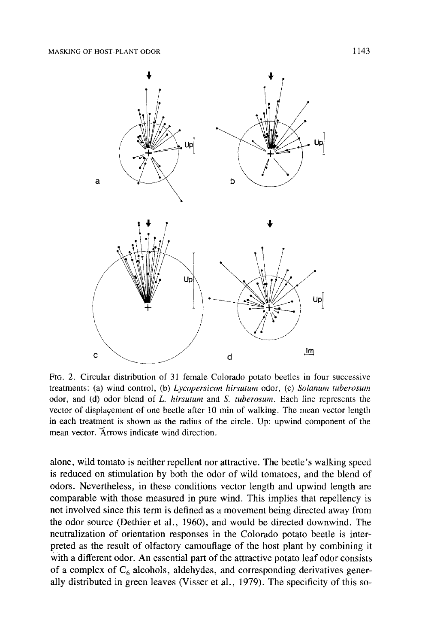

FIG. 2. Circular distribution of 31 female Colorado potato beetles in four successive treatments: (a) wind control, (b) *Lycopersicon hirsutum* odor, (c) *Solanum tuberosum*  odor, and (d) odor blend of *L. hirsutum* and *S. tuberosum.* Each line represents the vector of displaçement of one beetle after 10 min of walking. The mean vector length in each treatment is shown as the radius of the circle. Up: upwind component of the mean vector. 'Arrows indicate wind direction.

alone, wild tomato is neither repellent nor attractive. The beetle's walking speed is reduced on stimulation by both the odor of wild tomatoes, and the blend of odors. Nevertheless, in these conditions vector length and upwind length are comparable with those measured in pure wind. This implies that repellency is not involved since this term is defined as a movement being directed away from the odor source (Dethier et al., 1960), and would be directed downwind. The neutralization of orientation responses in the Colorado potato beetle is interpreted as the result of olfactory camouflage of the host plant by combining it with a different odor. An essential part of the attractive potato leaf odor consists of a complex of  $C_6$  alcohols, aldehydes, and corresponding derivatives generally distributed in green leaves (Visser et al., 1979). The specificity of this so-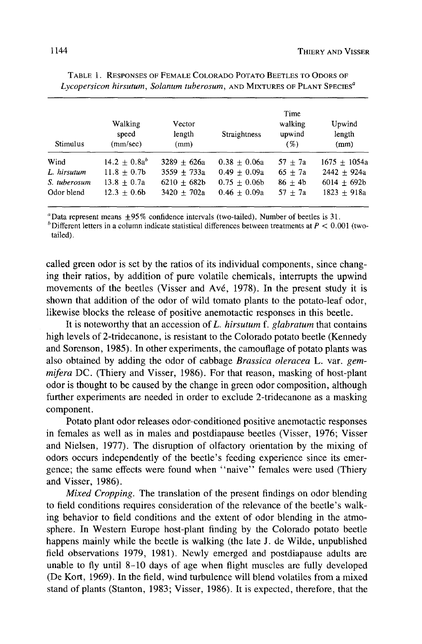| Stimulus     | Walking<br>speed<br>(mm/sec) | Vector<br>length<br>(mm) | Straightness   | Time<br>walking<br>upwind<br>(%) | Upwind<br>length<br>(mm) |
|--------------|------------------------------|--------------------------|----------------|----------------------------------|--------------------------|
| Wind         | $14.2 + 0.8a^{b}$            | $3289 + 626a$            | $0.38 + 0.06a$ | $57 + 7a$                        | $1675 + 1054a$           |
| L. hirsutum  | $11.8 + 0.7b$                | $3559 + 733a$            | $0.49 + 0.09a$ | $65 + 7a$                        | $2442 + 924a$            |
| S. tuberosum | $13.8 + 0.7a$                | $6210 \pm 682b$          | $0.75 + 0.06b$ | $86 + 4b$                        | $6014 + 692b$            |
| Odor blend   | $12.3 + 0.6b$                | $3420 \pm 702a$          | $0.46 + 0.09a$ | $57 \pm 7a$                      | $1823 + 918a$            |

TABLE 1. RESPONSES OF FEMALE COLORADO POTATO BEETLES TO ODORS OF *Lycopersicon hirsutum, Solanum tuberosum, AND MIXTURES OF PLANT SPECIES<sup>a</sup>* 

<sup>a</sup> Data represent means  $\pm 95\%$  confidence intervals (two-tailed). Number of beetles is 31.

<sup>b</sup> Different letters in a column indicate statistical differences between treatments at  $P < 0.001$  (twotailed).

called green odor is set by the ratios of its individual components, since changing their ratios, by addition of pure volatile chemicals, interrupts the upwind movements of the beetles (Visser and Avé, 1978). In the present study it is shown that addition of the odor of wild tomato plants to the potato-leaf odor, likewise blocks the release of positive anemotactic responses in this beetle.

It is noteworthy that an accession of L. *hirsutum f. glabratum* that contains high levels of 2-tridecanone, is resistant to the Colorado potato beetle (Kennedy and Sorenson, 1985). In other experiments, the camouflage of potato plants was also obtained by adding the odor of cabbage *Brassica oleracea* L. var. *gemmifera* DC. (Thiery and Visser, 1986). For that reason, masking of host-plant odor is thought to be caused by the change in green odor composition, although further experiments are needed in order to exclude 2-tridecanone as a masking component.

Potato plant odor releases odor-conditioned positive anemotactic responses in females as well as in males and postdiapause beetles (Visser, 1976; Visser and Nielsen, 1977). The disruption of olfactory orientation by the mixing of odors occurs independently of the beetle's feeding experience since its emergence; the same effects were found when "naive" females were used (Thiery and Visser, 1986).

*Mixed Cropping.* The translation of the present findings on odor blending to field conditions requires consideration of the relevance of the beetle's walking behavior to field conditions and the extent of odor blending in the atmosphere. In Western Europe host-plant finding by the Colorado potato beetle happens mainly while the beetle is walking (the late J. de Wilde, unpublished field observations 1979, 1981). Newly emerged and postdiapause adults are unable to fly until 8-10 days of age when flight muscles are fully developed (De Kort, 1969). In the field, wind turbulence will blend volatiles from a mixed stand of plants (Stanton, 1983; Visser, 1986). It is expected, therefore, that the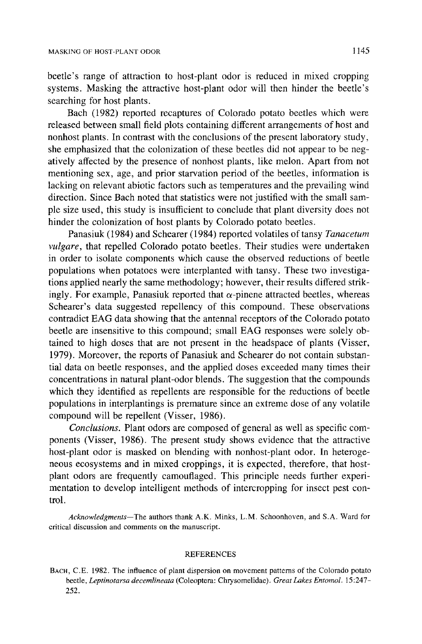beetle's range of attraction to host-plant odor is reduced in mixed cropping systems. Masking the attractive host-plant odor will then hinder the beetle's searching for host plants.

Bach (1982) reported recaptures of Colorado potato beetles which were released between small field plots containing different arrangements of host and nonhost plants. In contrast with the conclusions of the present laboratory study, she emphasized that the colonization of these beetles did not appear to be negatively affected by the presence of nonhost plants, like melon. Apart from not mentioning sex, age, and prior starvation period of the beetles, information is lacking on relevant abiotic factors such as temperatures and the prevailing wind direction. Since Bach noted that statistics were not justified with the small sample size used, this study is insufficient to conclude that plant diversity does not hinder the colonization of host plants by Colorado potato beetles.

Panasiuk (1984) and Schearer (1984) reported volatiles of tansy *Tanacetum vulgare*, that repelled Colorado potato beetles. Their studies were undertaken in order to isolate components which cause the observed reductions of beetle populations when potatoes were interplanted with tansy. These two investigations applied nearly the same methodology; however, their results differed strikingly. For example, Panasiuk reported that  $\alpha$ -pinene attracted beetles, whereas Schearer's data suggested repellency of this compound. These observations contradict EAG data showing that the antennal receptors of the Colorado potato beetle are insensitive to this compound; small EAG responses were solely obtained to high doses that are not present in the headspace of plants (Visser, 1979). Moreover, the reports of Panasiuk and Schearer do not contain substantial data on beetle responses, and the applied doses exceeded many times their concentrations in natural plant-odor blends. The suggestion that the compounds which they identified as repellents are responsible for the reductions of beetle populations in interplantings is premature since an extreme dose of any volatile compound will be repellent (Visser, 1986).

*Conclusions.* Plant odors are composed of general as well as specific components (Visser, 1986). The present study shows evidence that the attractive host-plant odor is masked on blending with nonhost-plant odor. In heterogeneous ecosystems and in mixed croppings, it is expected, therefore, that hostplant odors are frequently camouflaged. This principle needs further experimentation to develop intelligent methods of intercropping for insect pest control.

*Acknowledgments--The* authors thank A.K. Minks, L.M. Schoonhoven, and S.A. Ward for critical discussion and comments on the manuscript.

#### **REFERENCES**

BACH, C.E. 1982. The influence of plant dispersion on movement patterns of the Colorado potato beetle, *Leptinotarsa decemlineata* (Coleoptera: Chrysomelidae). *Great Lakes Entomol.* 15:247- 252.